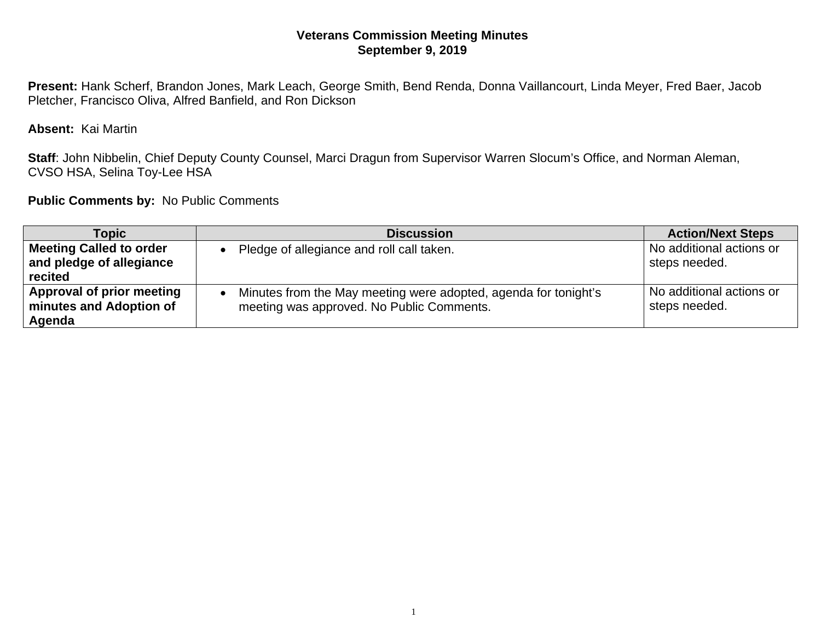## **Veterans Commission Meeting Minutes September 9, 2019**

**Present:** Hank Scherf, Brandon Jones, Mark Leach, George Smith, Bend Renda, Donna Vaillancourt, Linda Meyer, Fred Baer, Jacob Pletcher, Francisco Oliva, Alfred Banfield, and Ron Dickson

**Absent:** Kai Martin

**Staff**: John Nibbelin, Chief Deputy County Counsel, Marci Dragun from Supervisor Warren Slocum's Office, and Norman Aleman, CVSO HSA, Selina Toy-Lee HSA

**Public Comments by:** No Public Comments

| Topic                                                          | <b>Discussion</b>                                                                                            | <b>Action/Next Steps</b>                  |
|----------------------------------------------------------------|--------------------------------------------------------------------------------------------------------------|-------------------------------------------|
| Meeting Called to order<br>and pledge of allegiance<br>recited | Pledge of allegiance and roll call taken.                                                                    | No additional actions or<br>steps needed. |
| Approval of prior meeting<br>minutes and Adoption of<br>Agenda | Minutes from the May meeting were adopted, agenda for tonight's<br>meeting was approved. No Public Comments. | No additional actions or<br>steps needed. |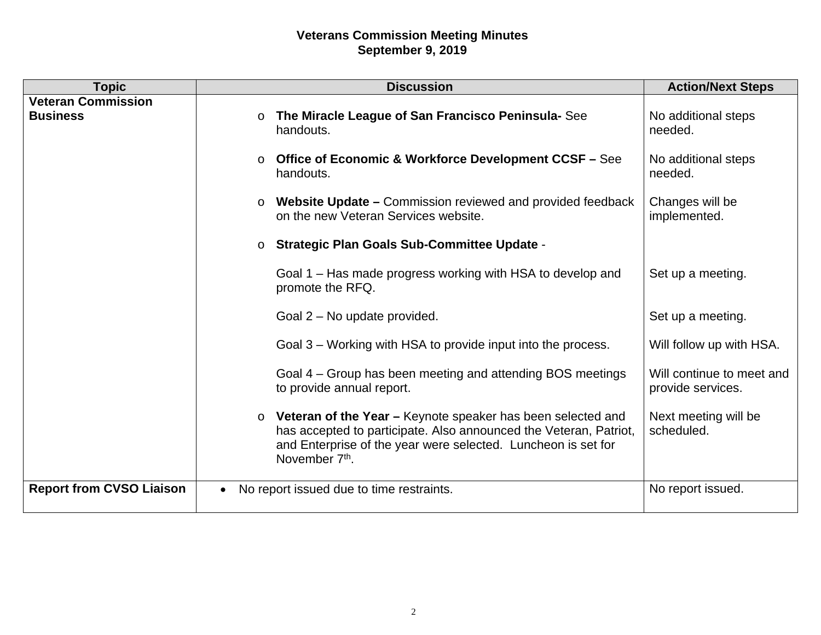## **Veterans Commission Meeting Minutes September 9, 2019**

| <b>Topic</b>                                 | <b>Discussion</b>                                                                                                                                                                                                                       | <b>Action/Next Steps</b>                       |
|----------------------------------------------|-----------------------------------------------------------------------------------------------------------------------------------------------------------------------------------------------------------------------------------------|------------------------------------------------|
| <b>Veteran Commission</b><br><b>Business</b> | o The Miracle League of San Francisco Peninsula-See<br>handouts.                                                                                                                                                                        | No additional steps<br>needed.                 |
|                                              | ○ Office of Economic & Workforce Development CCSF – See<br>handouts.                                                                                                                                                                    | No additional steps<br>needed.                 |
|                                              | Website Update – Commission reviewed and provided feedback<br>$\circ$<br>on the new Veteran Services website.                                                                                                                           | Changes will be<br>implemented.                |
|                                              | o Strategic Plan Goals Sub-Committee Update -                                                                                                                                                                                           |                                                |
|                                              | Goal 1 – Has made progress working with HSA to develop and<br>promote the RFQ.                                                                                                                                                          | Set up a meeting.                              |
|                                              | Goal 2 – No update provided.                                                                                                                                                                                                            | Set up a meeting.                              |
|                                              | Goal 3 – Working with HSA to provide input into the process.                                                                                                                                                                            | Will follow up with HSA.                       |
|                                              | Goal 4 – Group has been meeting and attending BOS meetings<br>to provide annual report.                                                                                                                                                 | Will continue to meet and<br>provide services. |
|                                              | $\circ$ Veteran of the Year - Keynote speaker has been selected and<br>has accepted to participate. Also announced the Veteran, Patriot,<br>and Enterprise of the year were selected. Luncheon is set for<br>November 7 <sup>th</sup> . | Next meeting will be<br>scheduled.             |
| <b>Report from CVSO Liaison</b>              | No report issued due to time restraints.<br>$\bullet$                                                                                                                                                                                   | No report issued.                              |